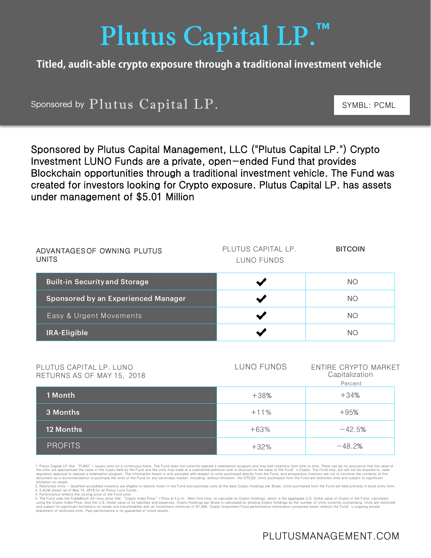# **Plutus Capital LP.™**

## **Titled, audit-able crypto exposure through a traditional investment vehicle**

Sponsored by  $Plutus$   $Capital$   $LP$ .  $SYMBL: PCML$ 

Sponsored by Plutus Capital Management, LLC ("Plutus Capital LP.") Crypto Investment LUNO Funds are a private, open-ended Fund that provides Blockchain opportunities through a traditional investment vehicle. The Fund was created for investors looking for Crypto exposure. Plutus Capital LP. has assets under management of \$5.01 Million

| ADVANTAGES OF OWNING PLUTUS<br><b>UNITS</b> | PLUTUS CAPITAL LP.<br>LUNO FUNDS | <b>BITCOIN</b> |
|---------------------------------------------|----------------------------------|----------------|
| <b>Built-in Security and Storage</b>        |                                  | <b>NO</b>      |
| Sponsored by an Experienced Manager         |                                  | <b>NO</b>      |
| Easy & Urgent Movements                     |                                  | <b>NO</b>      |
| IRA-Eligible                                |                                  | ΝO             |

| PLUTUS CAPITAL LP. LUNO<br>RETURNS AS OF MAY 15, 2018 | LUNO FUNDS | ENTIRE CRYPTO MARKET<br>Capitalization<br>Percent |
|-------------------------------------------------------|------------|---------------------------------------------------|
| 1 Month                                               | $+38%$     | $+34%$                                            |
| 3 Months                                              | $+11%$     | $+95%$                                            |
| <b>12 Months</b>                                      | $+63%$     | $-42.5%$                                          |
| <b>PROFITS</b>                                        | $+32%$     | $-48.2%$                                          |

1. Plutus Capital LP (the "FUND") issues units on a continuous basis. The Fund does not currently operate a redemption program and may halt creations from time to time. There can be no assurance that the value of the units will approximate the value of the crypto held by the Fund and the units may trade at a substantial premium over or discount to the value of the Fund's Crypto. The Fund may, but will not be required to, seek<br>regul

limitation on resale.<br>2. Restricted Units - Qualified accredited investors are eligible to directly invest in the Fund and purchase units at the daily Crypto Holdings per Share. Units purchased from the Fund are held prima

4. Performance reflects the closing price of the Fund units<br>5. The Fund uses the TradeBlock 24-hour price (the "Crypto Index Price") Price at 4 p.m., New York time, to calculate its Crypto Holdings, which is the aggregate placement of restricted units. Past performance is no guarantee of future results.